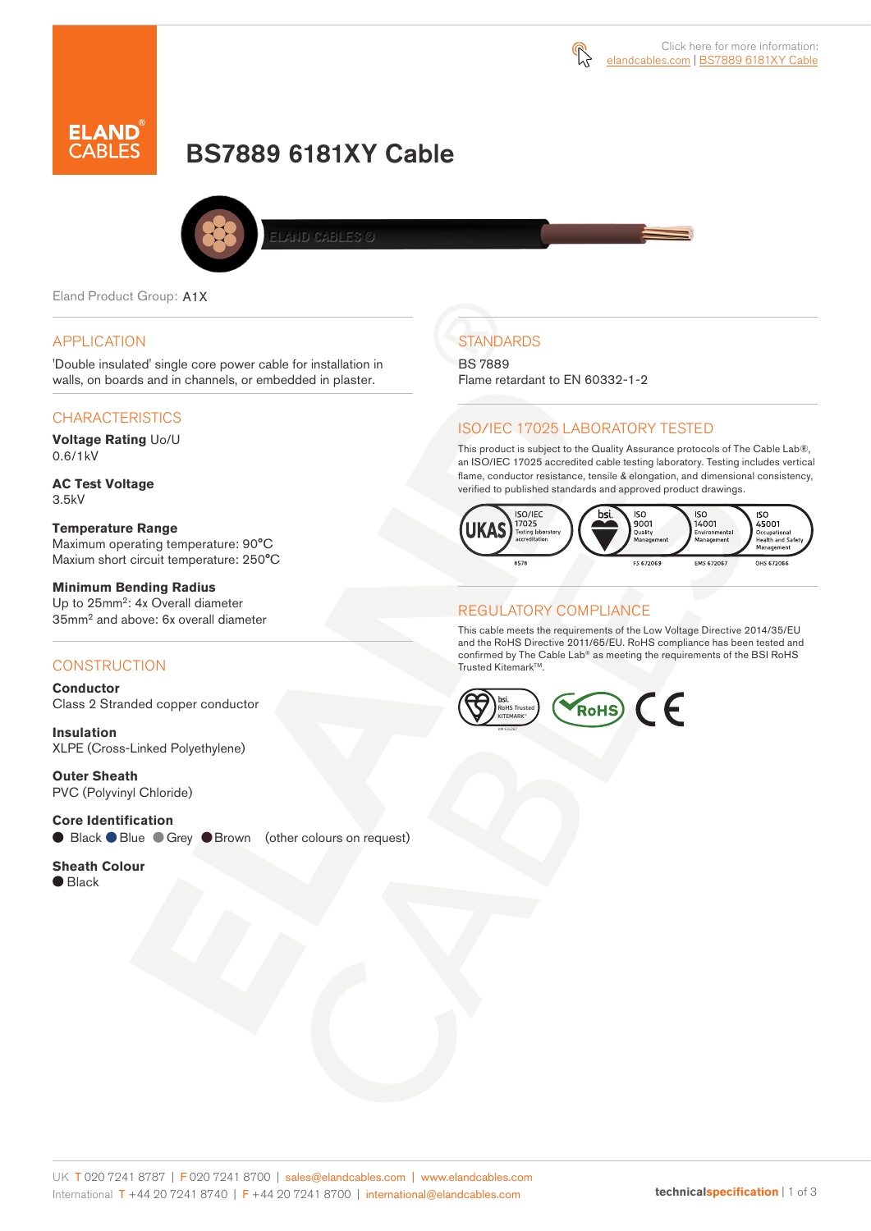



# BS7889 6181XY Cable



.<br>ELAND CABLES ©

Eland Product Group: A1X

#### APPLICATION

'Double insulated' single core power cable for installation in walls, on boards and in channels, or embedded in plaster.

#### CHARACTERISTICS

**Voltage Rating** Uo/U 0.6/1kV

**AC Test Voltage** 3.5kV

**Temperature Range**  Maximum operating temperature: 90°C Maxium short circuit temperature: 250°C

**Minimum Bending Radius** Up to 25mm<sup>2</sup>: 4x Overall diameter 35mm<sup>2</sup> and above: 6x overall diameter

#### **CONSTRUCTION**

**Conductor** Class 2 Stranded copper conductor

**Insulation** XLPE (Cross-Linked Polyethylene)

**Outer Sheath** PVC (Polyvinyl Chloride)

**Core Identification** Black Blue Grey Brown (other colours on request)

**Sheath Colour** ● Black

**STANDARDS** BS 7889

Flame retardant to EN 60332-1-2

#### ISO/IEC 17025 LABORATORY TESTED

This product is subject to the Quality Assurance protocols of The Cable Lab®, an ISO/IEC 17025 accredited cable testing laboratory. Testing includes vertical flame, conductor resistance, tensile & elongation, and dimensional consistency, verified to published standards and approved product drawings.



#### REGULATORY COMPLIANCE

This cable meets the requirements of the Low Voltage Directive 2014/35/EU and the RoHS Directive 2011/65/EU. RoHS compliance has been tested and confirmed by The Cable Lab® as meeting the requirements of the BSI RoHS Trusted KitemarkTM.

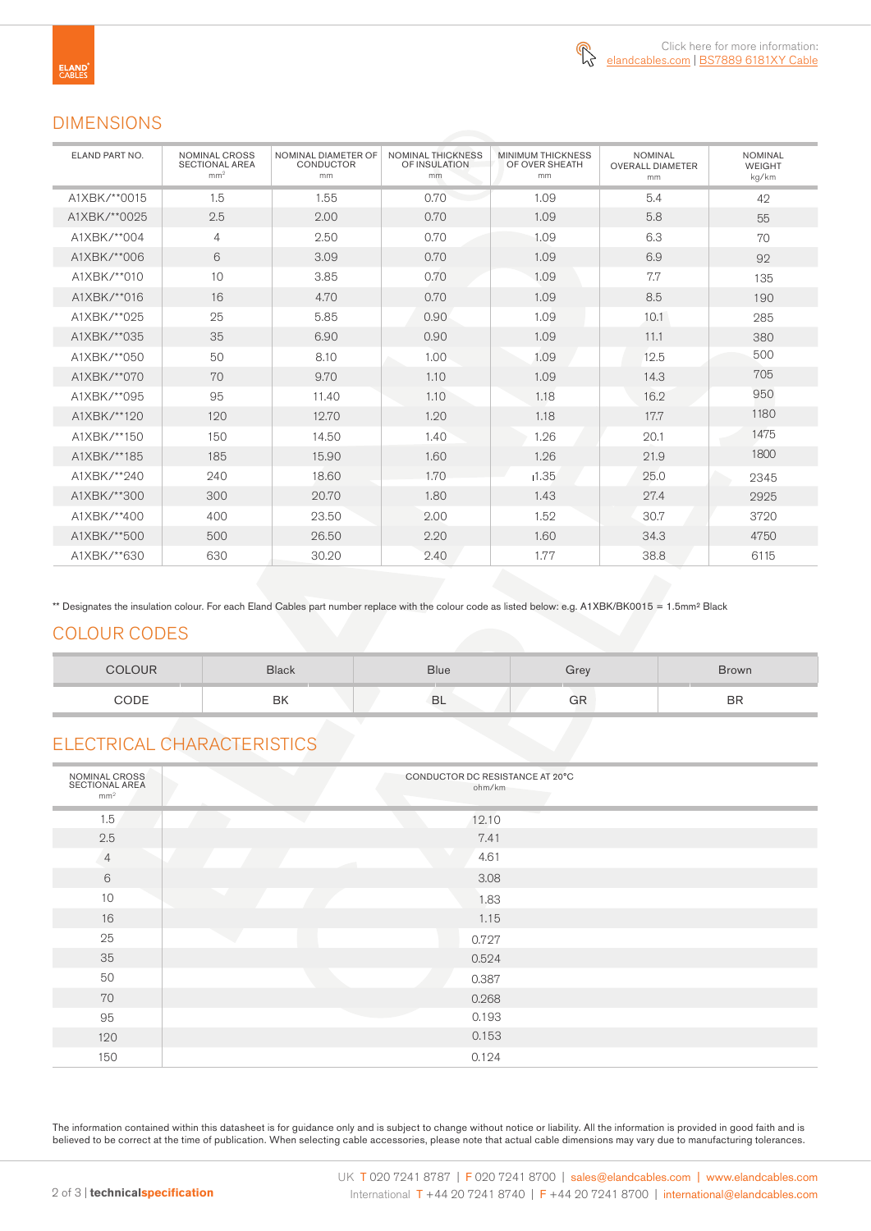

## DIMENSIONS

| ELAND PART NO. | <b>NOMINAL CROSS</b><br>SECTIONAL AREA<br>mm <sup>2</sup> | NOMINAL DIAMETER OF<br><b>CONDUCTOR</b><br>mm | <b>NOMINAL THICKNESS</b><br>OF INSULATION<br>mm | <b>MINIMUM THICKNESS</b><br>OF OVER SHEATH<br>mm | <b>NOMINAL</b><br><b>OVERALL DIAMETER</b><br>mm | <b>NOMINAL</b><br><b>WEIGHT</b><br>kg/km |  |
|----------------|-----------------------------------------------------------|-----------------------------------------------|-------------------------------------------------|--------------------------------------------------|-------------------------------------------------|------------------------------------------|--|
| A1XBK/**0015   | 1.5                                                       | 1.55                                          | 0.70                                            | 1.09                                             | 5.4                                             | 42                                       |  |
| A1XBK/**0025   | 2.5                                                       | 2.00                                          | 0.70                                            | 1.09                                             | 5.8                                             | 55                                       |  |
| A1XBK/**004    | 4                                                         | 2.50                                          | 0.70                                            | 1.09                                             | 6.3                                             | 70                                       |  |
| A1XBK/**006    | 6                                                         | 3.09                                          | 0.70                                            | 1.09                                             | 6.9                                             | 92                                       |  |
| A1XBK/**010    | 10                                                        | 3.85                                          | 0.70                                            | 1.09                                             | 7.7                                             | 135                                      |  |
| A1XBK/**016    | 16                                                        | 4.70                                          | 0.70                                            | 1.09                                             | 8.5                                             | 190                                      |  |
| A1XBK/**025    | 25                                                        | 5.85                                          | 0.90                                            | 1.09                                             | 10.1                                            | 285                                      |  |
| A1XBK/**035    | 35                                                        | 6.90                                          | 0.90                                            | 1.09                                             | 11.1                                            | 380                                      |  |
| A1XBK/**050    | 50                                                        | 8.10                                          | 1.00                                            | 1.09                                             | 12.5                                            | 500                                      |  |
| A1XBK/**070    | 70                                                        | 9.70                                          | 1.10                                            | 1.09                                             | 14.3                                            | 705                                      |  |
| A1XBK/**095    | 95                                                        | 11.40                                         | 1.10                                            | 1.18                                             | 16.2                                            | 950                                      |  |
| A1XBK/**120    | 120                                                       | 12.70                                         | 1.20                                            | 1.18                                             | 17.7                                            | 1180                                     |  |
| A1XBK/**150    | 150                                                       | 14.50                                         | 1.40                                            | 1.26                                             | 20.1                                            | 1475                                     |  |
| A1XBK/**185    | 185                                                       | 15.90                                         | 1.60                                            | 1.26                                             | 21.9                                            | 1800                                     |  |
| A1XBK/**240    | 240                                                       | 18.60                                         | 1.70                                            | 1.35                                             | 25.0                                            | 2345                                     |  |
| A1XBK/**300    | 300                                                       | 20.70                                         | 1.80                                            | 1.43                                             | 27.4                                            | 2925                                     |  |
| A1XBK/**400    | 400                                                       | 23.50                                         | 2.00                                            | 1.52                                             | 30.7                                            | 3720                                     |  |
| A1XBK/**500    | 500                                                       | 26.50                                         | 2.20                                            | 1.60                                             | 34.3                                            | 4750                                     |  |
| A1XBK/**630    | 630                                                       | 30.20                                         | 2.40                                            | 1.77                                             | 38.8                                            | 6115                                     |  |

\*\* Designates the insulation colour. For each Eland Cables part number replace with the colour code as listed below: e.g. A1XBK/BK0015 = 1.5mm<sup>2</sup> Black

### COLOUR CODES

| COLOUR | <b>Black</b> | <b>Blue</b> | ÷rev | <b>Brown</b> |
|--------|--------------|-------------|------|--------------|
| CODE   | BK           | <b>BL</b>   | GR   | <b>BR</b>    |

# ELECTRICAL CHARACTERISTICS

| NOMINAL CROSS<br>SECTIONAL AREA<br>mm <sup>2</sup> | CONDUCTOR DC RESISTANCE AT 20°C<br>ohm/km |
|----------------------------------------------------|-------------------------------------------|
| 1.5                                                | 12.10                                     |
| 2.5                                                | 7.41                                      |
| $\overline{4}$                                     | 4.61                                      |
| 6                                                  | 3.08                                      |
| 10                                                 | 1.83                                      |
| 16                                                 | 1.15                                      |
| 25                                                 | 0.727                                     |
| 35                                                 | 0.524                                     |
| 50                                                 | 0.387                                     |
| 70                                                 | 0.268                                     |
| 95                                                 | 0.193                                     |
| 120                                                | 0.153                                     |
| 150                                                | 0.124                                     |

The information contained within this datasheet is for guidance only and is subject to change without notice or liability. All the information is provided in good faith and is believed to be correct at the time of publication. When selecting cable accessories, please note that actual cable dimensions may vary due to manufacturing tolerances.